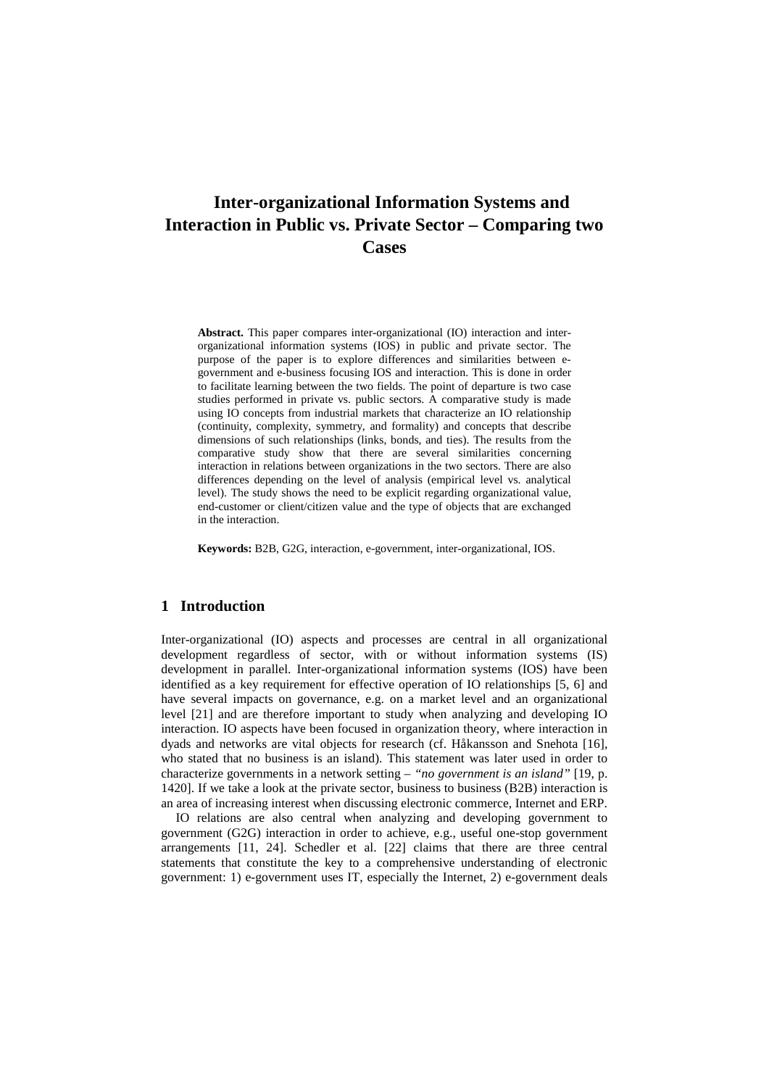# **Inter-organizational Information Systems and Interaction in Public vs. Private Sector – Comparing two Cases**

**Abstract.** This paper compares inter-organizational (IO) interaction and interorganizational information systems (IOS) in public and private sector. The purpose of the paper is to explore differences and similarities between egovernment and e-business focusing IOS and interaction. This is done in order to facilitate learning between the two fields. The point of departure is two case studies performed in private vs. public sectors. A comparative study is made using IO concepts from industrial markets that characterize an IO relationship (continuity, complexity, symmetry, and formality) and concepts that describe dimensions of such relationships (links, bonds, and ties). The results from the comparative study show that there are several similarities concerning interaction in relations between organizations in the two sectors. There are also differences depending on the level of analysis (empirical level vs. analytical level). The study shows the need to be explicit regarding organizational value, end-customer or client/citizen value and the type of objects that are exchanged in the interaction.

**Keywords:** B2B, G2G, interaction, e-government, inter-organizational, IOS.

## **1 Introduction**

Inter-organizational (IO) aspects and processes are central in all organizational development regardless of sector, with or without information systems (IS) development in parallel. Inter-organizational information systems (IOS) have been identified as a key requirement for effective operation of IO relationships [5, 6] and have several impacts on governance, e.g. on a market level and an organizational level [21] and are therefore important to study when analyzing and developing IO interaction. IO aspects have been focused in organization theory, where interaction in dyads and networks are vital objects for research (cf. Håkansson and Snehota [16], who stated that no business is an island). This statement was later used in order to characterize governments in a network setting – *"no government is an island"* [19, p. 1420]. If we take a look at the private sector, business to business (B2B) interaction is an area of increasing interest when discussing electronic commerce, Internet and ERP.

IO relations are also central when analyzing and developing government to government (G2G) interaction in order to achieve, e.g., useful one-stop government arrangements [11, 24]. Schedler et al. [22] claims that there are three central statements that constitute the key to a comprehensive understanding of electronic government: 1) e-government uses IT, especially the Internet, 2) e-government deals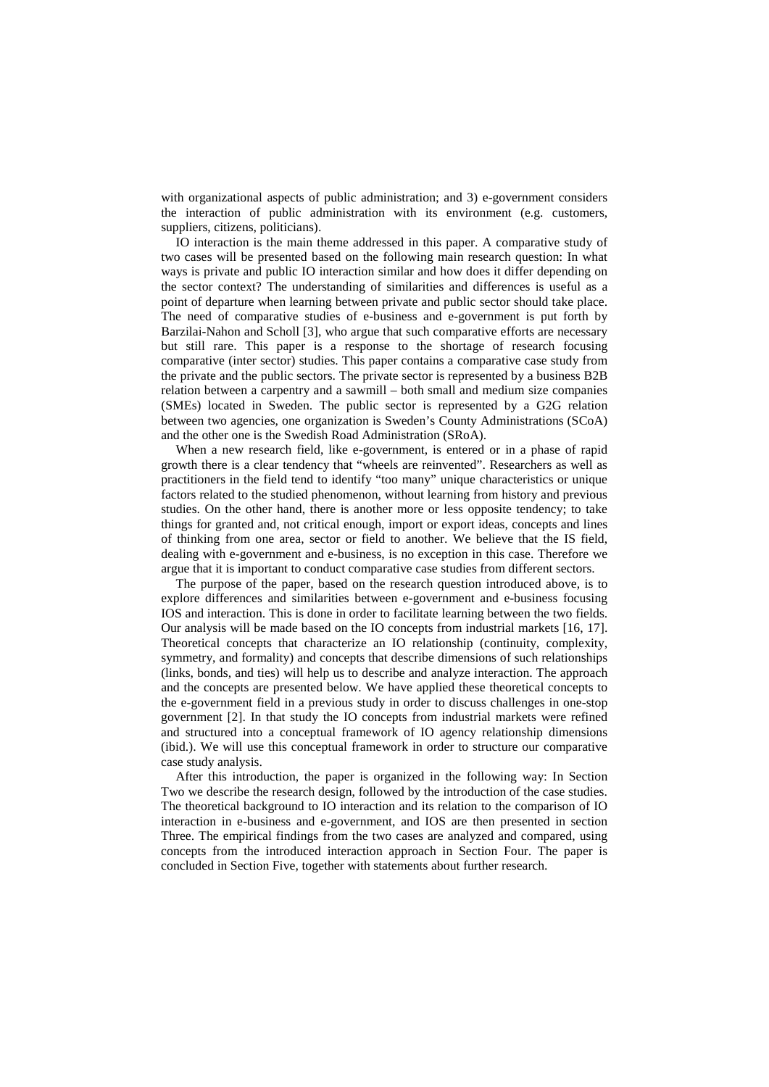with organizational aspects of public administration; and 3) e-government considers the interaction of public administration with its environment (e.g. customers, suppliers, citizens, politicians).

IO interaction is the main theme addressed in this paper. A comparative study of two cases will be presented based on the following main research question: In what ways is private and public IO interaction similar and how does it differ depending on the sector context? The understanding of similarities and differences is useful as a point of departure when learning between private and public sector should take place. The need of comparative studies of e-business and e-government is put forth by Barzilai-Nahon and Scholl [3], who argue that such comparative efforts are necessary but still rare. This paper is a response to the shortage of research focusing comparative (inter sector) studies. This paper contains a comparative case study from the private and the public sectors. The private sector is represented by a business B2B relation between a carpentry and a sawmill – both small and medium size companies (SMEs) located in Sweden. The public sector is represented by a G2G relation between two agencies, one organization is Sweden's County Administrations (SCoA) and the other one is the Swedish Road Administration (SRoA).

When a new research field, like e-government, is entered or in a phase of rapid growth there is a clear tendency that "wheels are reinvented". Researchers as well as practitioners in the field tend to identify "too many" unique characteristics or unique factors related to the studied phenomenon, without learning from history and previous studies. On the other hand, there is another more or less opposite tendency; to take things for granted and, not critical enough, import or export ideas, concepts and lines of thinking from one area, sector or field to another. We believe that the IS field, dealing with e-government and e-business, is no exception in this case. Therefore we argue that it is important to conduct comparative case studies from different sectors.

The purpose of the paper, based on the research question introduced above, is to explore differences and similarities between e-government and e-business focusing IOS and interaction. This is done in order to facilitate learning between the two fields. Our analysis will be made based on the IO concepts from industrial markets [16, 17]. Theoretical concepts that characterize an IO relationship (continuity, complexity, symmetry, and formality) and concepts that describe dimensions of such relationships (links, bonds, and ties) will help us to describe and analyze interaction. The approach and the concepts are presented below. We have applied these theoretical concepts to the e-government field in a previous study in order to discuss challenges in one-stop government [2]. In that study the IO concepts from industrial markets were refined and structured into a conceptual framework of IO agency relationship dimensions (ibid.). We will use this conceptual framework in order to structure our comparative case study analysis.

After this introduction, the paper is organized in the following way: In Section Two we describe the research design, followed by the introduction of the case studies. The theoretical background to IO interaction and its relation to the comparison of IO interaction in e-business and e-government, and IOS are then presented in section Three. The empirical findings from the two cases are analyzed and compared, using concepts from the introduced interaction approach in Section Four. The paper is concluded in Section Five, together with statements about further research.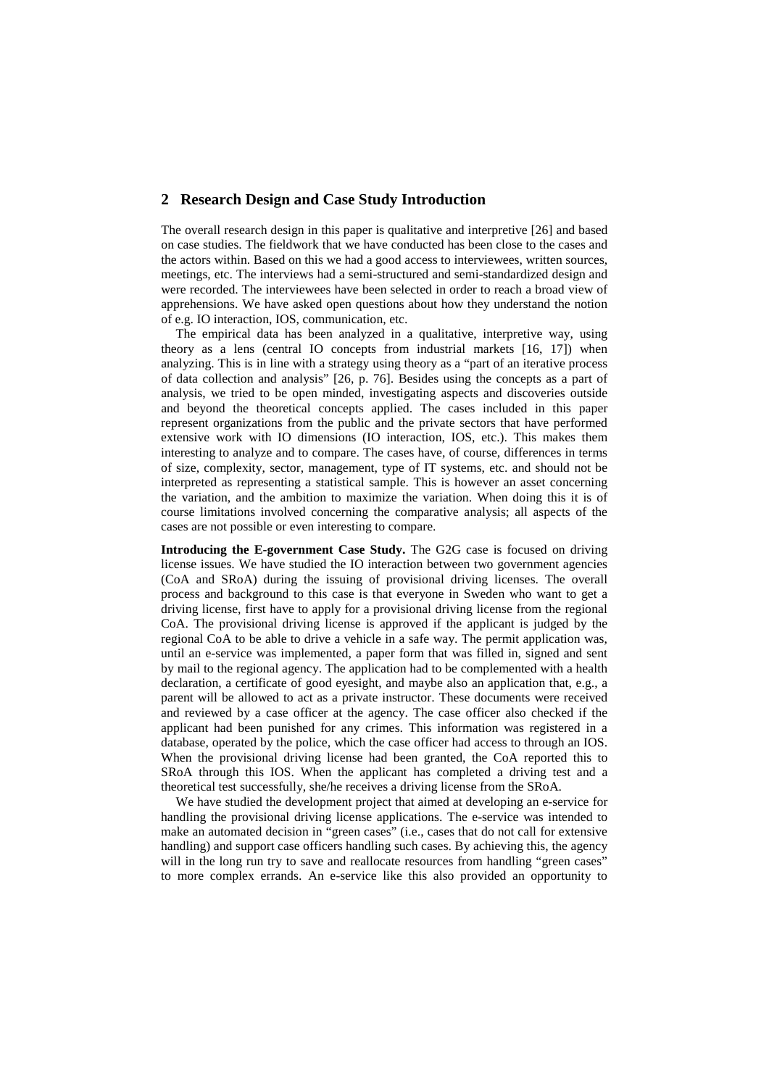#### **2 Research Design and Case Study Introduction**

The overall research design in this paper is qualitative and interpretive [26] and based on case studies. The fieldwork that we have conducted has been close to the cases and the actors within. Based on this we had a good access to interviewees, written sources, meetings, etc. The interviews had a semi-structured and semi-standardized design and were recorded. The interviewees have been selected in order to reach a broad view of apprehensions. We have asked open questions about how they understand the notion of e.g. IO interaction, IOS, communication, etc.

The empirical data has been analyzed in a qualitative, interpretive way, using theory as a lens (central IO concepts from industrial markets [16, 17]) when analyzing. This is in line with a strategy using theory as a "part of an iterative process of data collection and analysis" [26, p. 76]. Besides using the concepts as a part of analysis, we tried to be open minded, investigating aspects and discoveries outside and beyond the theoretical concepts applied. The cases included in this paper represent organizations from the public and the private sectors that have performed extensive work with IO dimensions (IO interaction, IOS, etc.). This makes them interesting to analyze and to compare. The cases have, of course, differences in terms of size, complexity, sector, management, type of IT systems, etc. and should not be interpreted as representing a statistical sample. This is however an asset concerning the variation, and the ambition to maximize the variation. When doing this it is of course limitations involved concerning the comparative analysis; all aspects of the cases are not possible or even interesting to compare.

**Introducing the E-government Case Study.** The G2G case is focused on driving license issues. We have studied the IO interaction between two government agencies (CoA and SRoA) during the issuing of provisional driving licenses. The overall process and background to this case is that everyone in Sweden who want to get a driving license, first have to apply for a provisional driving license from the regional CoA. The provisional driving license is approved if the applicant is judged by the regional CoA to be able to drive a vehicle in a safe way. The permit application was, until an e-service was implemented, a paper form that was filled in, signed and sent by mail to the regional agency. The application had to be complemented with a health declaration, a certificate of good eyesight, and maybe also an application that, e.g., a parent will be allowed to act as a private instructor. These documents were received and reviewed by a case officer at the agency. The case officer also checked if the applicant had been punished for any crimes. This information was registered in a database, operated by the police, which the case officer had access to through an IOS. When the provisional driving license had been granted, the CoA reported this to SRoA through this IOS. When the applicant has completed a driving test and a theoretical test successfully, she/he receives a driving license from the SRoA.

We have studied the development project that aimed at developing an e-service for handling the provisional driving license applications. The e-service was intended to make an automated decision in "green cases" (i.e., cases that do not call for extensive handling) and support case officers handling such cases. By achieving this, the agency will in the long run try to save and reallocate resources from handling "green cases" to more complex errands. An e-service like this also provided an opportunity to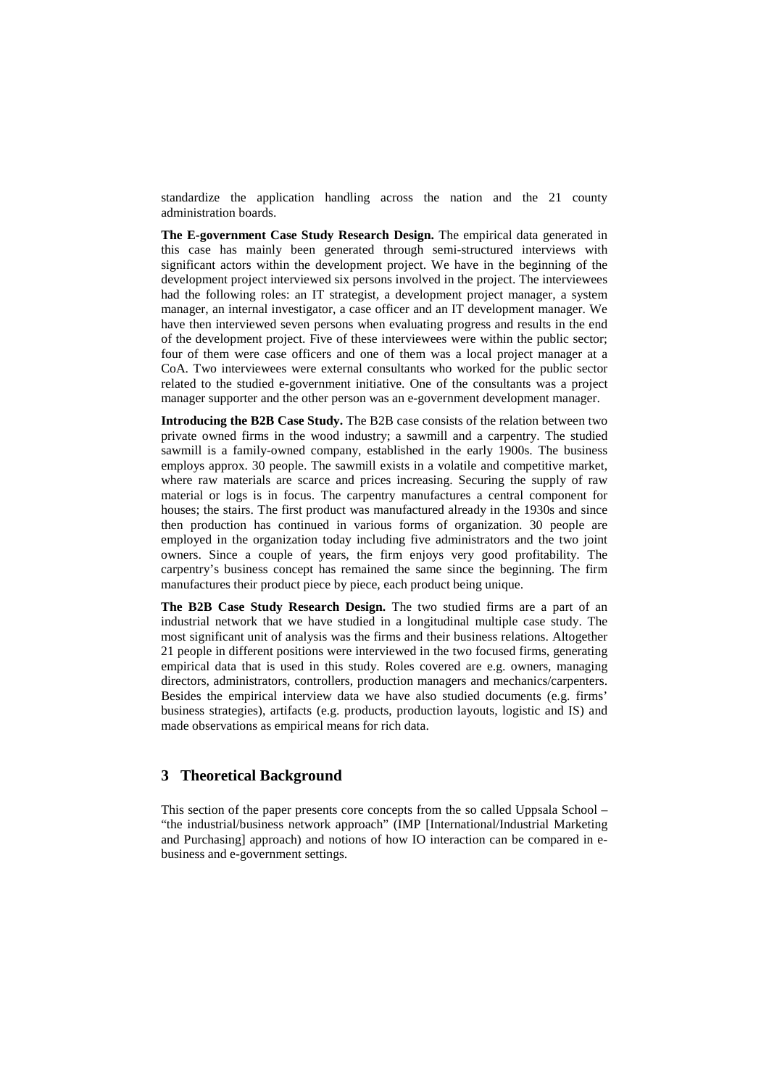standardize the application handling across the nation and the 21 county administration boards.

**The E-government Case Study Research Design.** The empirical data generated in this case has mainly been generated through semi-structured interviews with significant actors within the development project. We have in the beginning of the development project interviewed six persons involved in the project. The interviewees had the following roles: an IT strategist, a development project manager, a system manager, an internal investigator, a case officer and an IT development manager. We have then interviewed seven persons when evaluating progress and results in the end of the development project. Five of these interviewees were within the public sector; four of them were case officers and one of them was a local project manager at a CoA. Two interviewees were external consultants who worked for the public sector related to the studied e-government initiative. One of the consultants was a project manager supporter and the other person was an e-government development manager.

**Introducing the B2B Case Study.** The B2B case consists of the relation between two private owned firms in the wood industry; a sawmill and a carpentry. The studied sawmill is a family-owned company, established in the early 1900s. The business employs approx. 30 people. The sawmill exists in a volatile and competitive market, where raw materials are scarce and prices increasing. Securing the supply of raw material or logs is in focus. The carpentry manufactures a central component for houses; the stairs. The first product was manufactured already in the 1930s and since then production has continued in various forms of organization. 30 people are employed in the organization today including five administrators and the two joint owners. Since a couple of years, the firm enjoys very good profitability. The carpentry's business concept has remained the same since the beginning. The firm manufactures their product piece by piece, each product being unique.

**The B2B Case Study Research Design.** The two studied firms are a part of an industrial network that we have studied in a longitudinal multiple case study. The most significant unit of analysis was the firms and their business relations. Altogether 21 people in different positions were interviewed in the two focused firms, generating empirical data that is used in this study. Roles covered are e.g. owners, managing directors, administrators, controllers, production managers and mechanics/carpenters. Besides the empirical interview data we have also studied documents (e.g. firms' business strategies), artifacts (e.g. products, production layouts, logistic and IS) and made observations as empirical means for rich data.

## **3 Theoretical Background**

This section of the paper presents core concepts from the so called Uppsala School – "the industrial/business network approach" (IMP [International/Industrial Marketing and Purchasing] approach) and notions of how IO interaction can be compared in ebusiness and e-government settings.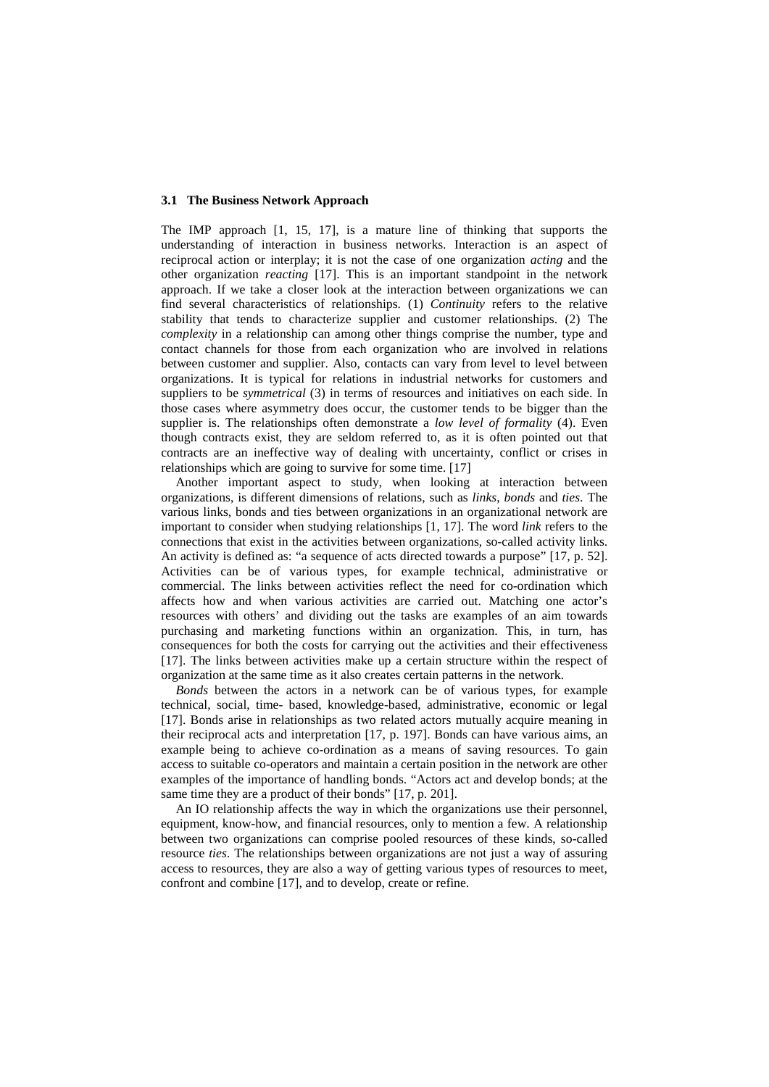#### **3.1 The Business Network Approach**

The IMP approach [1, 15, 17], is a mature line of thinking that supports the understanding of interaction in business networks. Interaction is an aspect of reciprocal action or interplay; it is not the case of one organization *acting* and the other organization *reacting* [17]. This is an important standpoint in the network approach. If we take a closer look at the interaction between organizations we can find several characteristics of relationships. (1) *Continuity* refers to the relative stability that tends to characterize supplier and customer relationships. (2) The *complexity* in a relationship can among other things comprise the number, type and contact channels for those from each organization who are involved in relations between customer and supplier. Also, contacts can vary from level to level between organizations. It is typical for relations in industrial networks for customers and suppliers to be *symmetrical* (3) in terms of resources and initiatives on each side. In those cases where asymmetry does occur, the customer tends to be bigger than the supplier is. The relationships often demonstrate a *low level of formality* (4). Even though contracts exist, they are seldom referred to, as it is often pointed out that contracts are an ineffective way of dealing with uncertainty, conflict or crises in relationships which are going to survive for some time. [17]

Another important aspect to study, when looking at interaction between organizations, is different dimensions of relations, such as *links*, *bonds* and *ties*. The various links, bonds and ties between organizations in an organizational network are important to consider when studying relationships [1, 17]. The word *link* refers to the connections that exist in the activities between organizations, so-called activity links. An activity is defined as: "a sequence of acts directed towards a purpose" [17, p. 52]. Activities can be of various types, for example technical, administrative or commercial. The links between activities reflect the need for co-ordination which affects how and when various activities are carried out. Matching one actor's resources with others' and dividing out the tasks are examples of an aim towards purchasing and marketing functions within an organization. This, in turn, has consequences for both the costs for carrying out the activities and their effectiveness [17]. The links between activities make up a certain structure within the respect of organization at the same time as it also creates certain patterns in the network.

*Bonds* between the actors in a network can be of various types, for example technical, social, time- based, knowledge-based, administrative, economic or legal [17]. Bonds arise in relationships as two related actors mutually acquire meaning in their reciprocal acts and interpretation [17, p. 197]. Bonds can have various aims, an example being to achieve co-ordination as a means of saving resources. To gain access to suitable co-operators and maintain a certain position in the network are other examples of the importance of handling bonds. "Actors act and develop bonds; at the same time they are a product of their bonds" [17, p. 201].

An IO relationship affects the way in which the organizations use their personnel, equipment, know-how, and financial resources, only to mention a few. A relationship between two organizations can comprise pooled resources of these kinds, so-called resource *ties*. The relationships between organizations are not just a way of assuring access to resources, they are also a way of getting various types of resources to meet, confront and combine [17], and to develop, create or refine.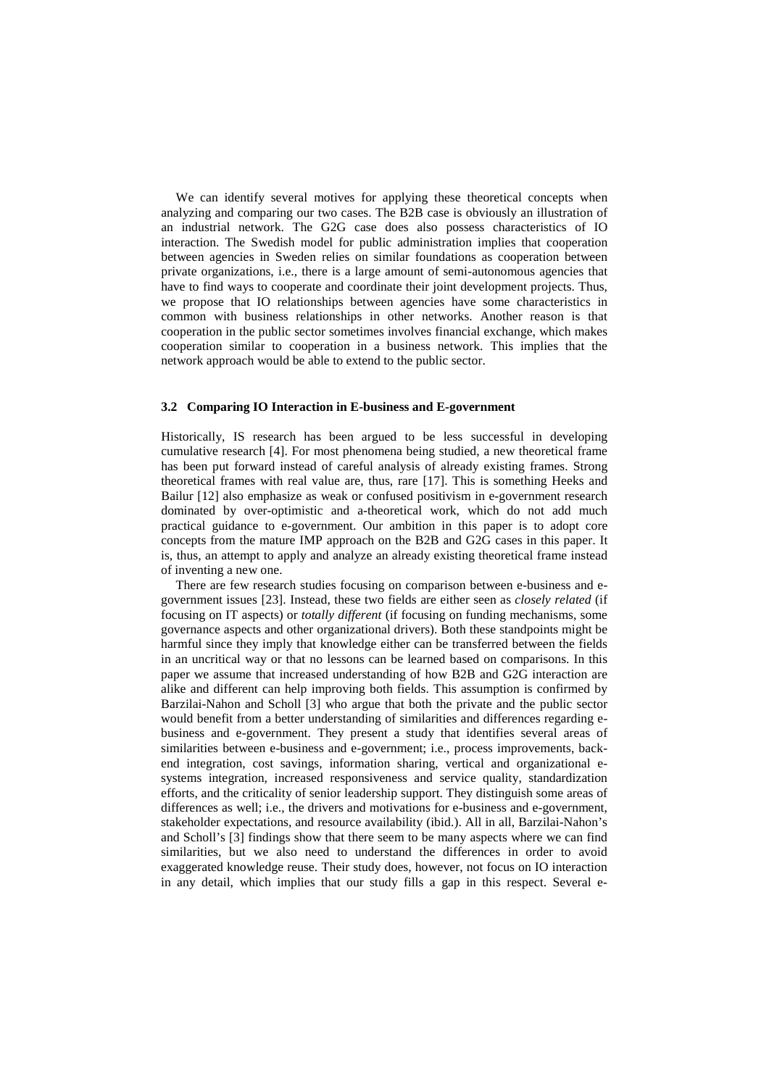We can identify several motives for applying these theoretical concepts when analyzing and comparing our two cases. The B2B case is obviously an illustration of an industrial network. The G2G case does also possess characteristics of IO interaction. The Swedish model for public administration implies that cooperation between agencies in Sweden relies on similar foundations as cooperation between private organizations, i.e., there is a large amount of semi-autonomous agencies that have to find ways to cooperate and coordinate their joint development projects. Thus, we propose that IO relationships between agencies have some characteristics in common with business relationships in other networks. Another reason is that cooperation in the public sector sometimes involves financial exchange, which makes cooperation similar to cooperation in a business network. This implies that the network approach would be able to extend to the public sector.

#### **3.2 Comparing IO Interaction in E-business and E-government**

Historically, IS research has been argued to be less successful in developing cumulative research [4]. For most phenomena being studied, a new theoretical frame has been put forward instead of careful analysis of already existing frames. Strong theoretical frames with real value are, thus, rare [17]. This is something Heeks and Bailur [12] also emphasize as weak or confused positivism in e-government research dominated by over-optimistic and a-theoretical work, which do not add much practical guidance to e-government. Our ambition in this paper is to adopt core concepts from the mature IMP approach on the B2B and G2G cases in this paper. It is, thus, an attempt to apply and analyze an already existing theoretical frame instead of inventing a new one.

There are few research studies focusing on comparison between e-business and egovernment issues [23]. Instead, these two fields are either seen as *closely related* (if focusing on IT aspects) or *totally different* (if focusing on funding mechanisms, some governance aspects and other organizational drivers). Both these standpoints might be harmful since they imply that knowledge either can be transferred between the fields in an uncritical way or that no lessons can be learned based on comparisons. In this paper we assume that increased understanding of how B2B and G2G interaction are alike and different can help improving both fields. This assumption is confirmed by Barzilai-Nahon and Scholl [3] who argue that both the private and the public sector would benefit from a better understanding of similarities and differences regarding ebusiness and e-government. They present a study that identifies several areas of similarities between e-business and e-government; i.e., process improvements, backend integration, cost savings, information sharing, vertical and organizational esystems integration, increased responsiveness and service quality, standardization efforts, and the criticality of senior leadership support. They distinguish some areas of differences as well; i.e., the drivers and motivations for e-business and e-government, stakeholder expectations, and resource availability (ibid.). All in all, Barzilai-Nahon's and Scholl's [3] findings show that there seem to be many aspects where we can find similarities, but we also need to understand the differences in order to avoid exaggerated knowledge reuse. Their study does, however, not focus on IO interaction in any detail, which implies that our study fills a gap in this respect. Several e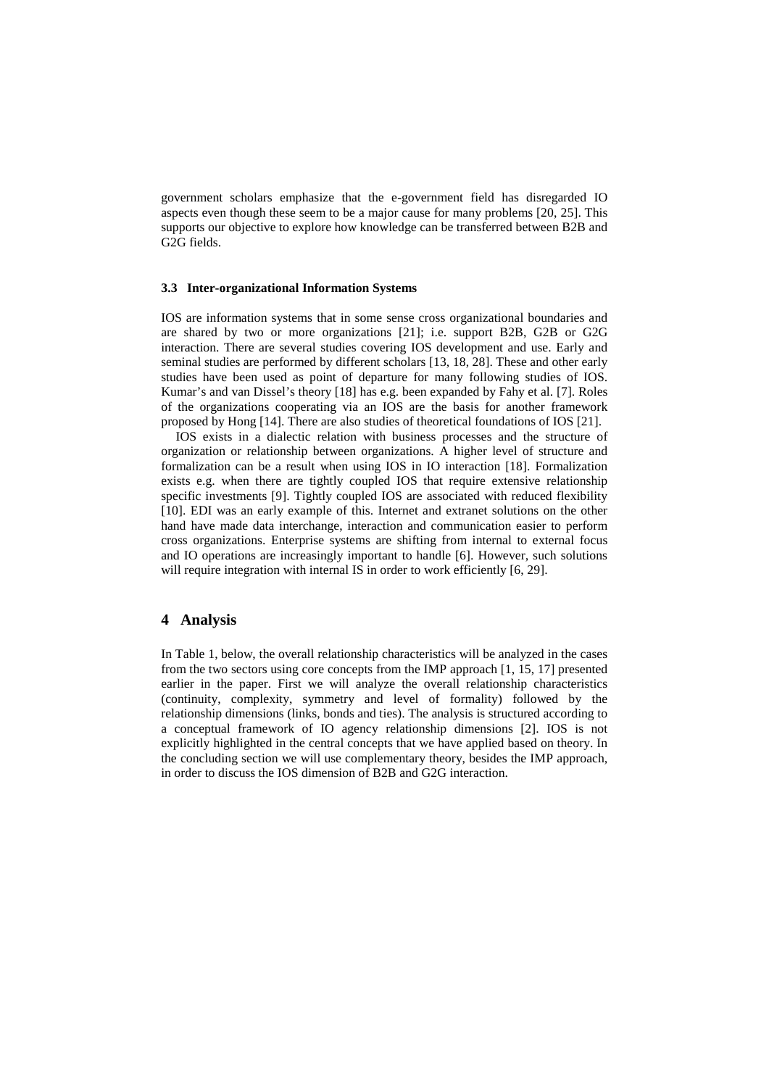government scholars emphasize that the e-government field has disregarded IO aspects even though these seem to be a major cause for many problems [20, 25]. This supports our objective to explore how knowledge can be transferred between B2B and G2G fields.

#### **3.3 Inter-organizational Information Systems**

IOS are information systems that in some sense cross organizational boundaries and are shared by two or more organizations [21]; i.e. support B2B, G2B or G2G interaction. There are several studies covering IOS development and use. Early and seminal studies are performed by different scholars [13, 18, 28]. These and other early studies have been used as point of departure for many following studies of IOS. Kumar's and van Dissel's theory [18] has e.g. been expanded by Fahy et al. [7]. Roles of the organizations cooperating via an IOS are the basis for another framework proposed by Hong [14]. There are also studies of theoretical foundations of IOS [21].

IOS exists in a dialectic relation with business processes and the structure of organization or relationship between organizations. A higher level of structure and formalization can be a result when using IOS in IO interaction [18]. Formalization exists e.g. when there are tightly coupled IOS that require extensive relationship specific investments [9]. Tightly coupled IOS are associated with reduced flexibility [10]. EDI was an early example of this. Internet and extranet solutions on the other hand have made data interchange, interaction and communication easier to perform cross organizations. Enterprise systems are shifting from internal to external focus and IO operations are increasingly important to handle [6]. However, such solutions will require integration with internal IS in order to work efficiently [6, 29].

# **4 Analysis**

In Table 1, below, the overall relationship characteristics will be analyzed in the cases from the two sectors using core concepts from the IMP approach [1, 15, 17] presented earlier in the paper. First we will analyze the overall relationship characteristics (continuity, complexity, symmetry and level of formality) followed by the relationship dimensions (links, bonds and ties). The analysis is structured according to a conceptual framework of IO agency relationship dimensions [2]. IOS is not explicitly highlighted in the central concepts that we have applied based on theory. In the concluding section we will use complementary theory, besides the IMP approach, in order to discuss the IOS dimension of B2B and G2G interaction.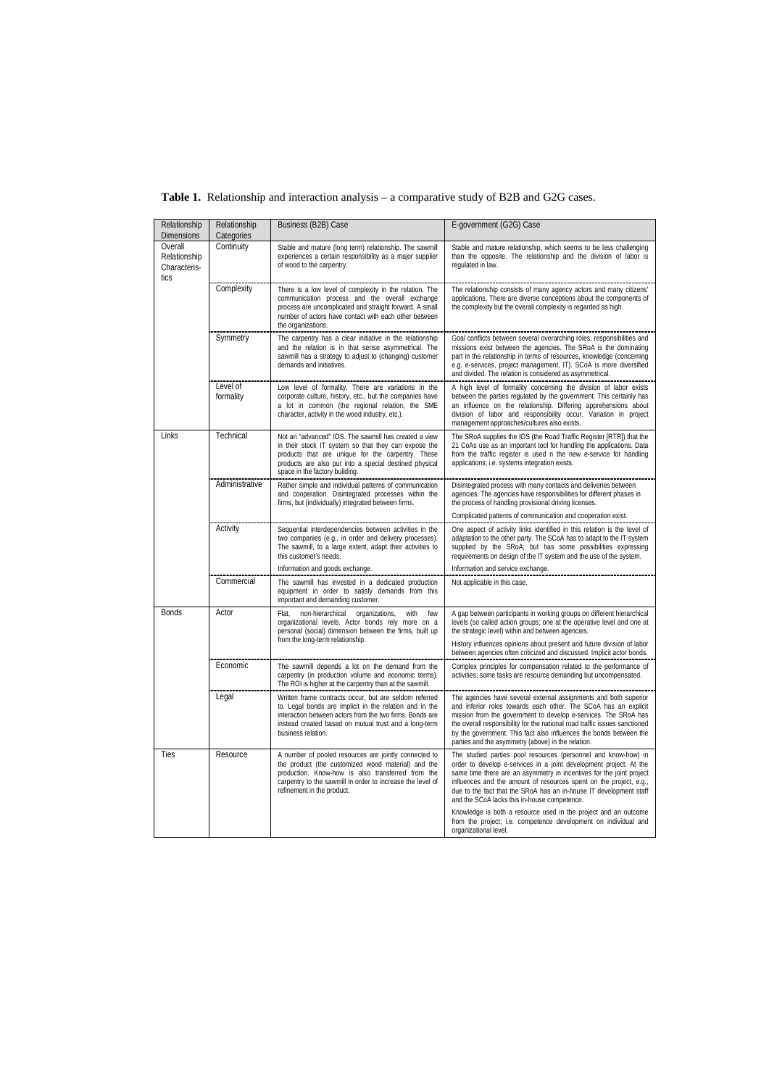| Relationship<br>Dimensions                      | Relationship<br>Categories | Business (B2B) Case                                                                                                                                                                                                                                            | E-government (G2G) Case                                                                                                                                                                                                                                                                                                                                                                                          |
|-------------------------------------------------|----------------------------|----------------------------------------------------------------------------------------------------------------------------------------------------------------------------------------------------------------------------------------------------------------|------------------------------------------------------------------------------------------------------------------------------------------------------------------------------------------------------------------------------------------------------------------------------------------------------------------------------------------------------------------------------------------------------------------|
| Overall<br>Relationship<br>Characteris-<br>tics | Continuity                 | Stable and mature (long term) relationship. The sawmill<br>experiences a certain responsibility as a major supplier<br>of wood to the carpentry.                                                                                                               | Stable and mature relationship, which seems to be less challenging<br>than the opposite. The relationship and the division of labor is<br>regulated in law.                                                                                                                                                                                                                                                      |
|                                                 | Complexity                 | There is a low level of complexity in the relation. The<br>communication process and the overall exchange<br>process are uncomplicated and straight forward. A small<br>number of actors have contact with each other between<br>the organizations.            | The relationship consists of many agency actors and many citizens'<br>applications. There are diverse conceptions about the components of<br>the complexity but the overall complexity is regarded as high.                                                                                                                                                                                                      |
|                                                 | Symmetry                   | The carpentry has a clear initiative in the relationship<br>and the relation is in that sense asymmetrical. The<br>sawmill has a strategy to adjust to (changing) customer<br>demands and initiatives.                                                         | Goal conflicts between several overarching roles, responsibilities and<br>missions exist between the agencies. The SRoA is the dominating<br>part in the relationship in terms of resources, knowledge (concerning<br>e.g. e-services, project management, IT). SCoA is more diversified<br>and divided. The relation is considered as asymmetrical.                                                             |
|                                                 | Level of<br>formality      | Low level of formality. There are variations in the<br>corporate culture, history, etc., but the companies have<br>a lot in common (the regional relation, the SME<br>character, activity in the wood industry, etc.).                                         | A high level of formality concerning the division of labor exists<br>between the parties regulated by the government. This certainly has<br>an influence on the relationship. Differing apprehensions about<br>division of labor and responsibility occur. Variation in project<br>management approaches/cultures also exists.                                                                                   |
| Links                                           | Technical                  | Not an "advanced" IOS. The sawmill has created a view<br>in their stock IT system so that they can expose the<br>products that are unique for the carpentry. These<br>products are also put into a special destined physical<br>space in the factory building. | The SRoA supplies the IOS (the Road Traffic Register [RTR]) that the<br>21 CoAs use as an important tool for handling the applications. Data<br>from the traffic register is used n the new e-service for handling<br>applications; i.e. systems integration exists.                                                                                                                                             |
|                                                 | Administrative             | Rather simple and individual patterns of communication<br>and cooperation. Disintegrated processes within the<br>firms, but (individually) integrated between firms.                                                                                           | Disintegrated process with many contacts and deliveries between<br>agencies. The agencies have responsibilities for different phases in<br>the process of handling provisional driving licenses.                                                                                                                                                                                                                 |
|                                                 |                            |                                                                                                                                                                                                                                                                | Complicated patterns of communication and cooperation exist.                                                                                                                                                                                                                                                                                                                                                     |
|                                                 | Activity                   | Sequential interdependencies between activities in the<br>two companies (e.g., in order and delivery processes).<br>The sawmill, to a large extent, adapt their activities to<br>this customer's needs.                                                        | One aspect of activity links identified in this relation is the level of<br>adaptation to the other party. The SCoA has to adapt to the IT system<br>supplied by the SRoA; but has some possibilities expressing<br>requirements on design of the IT system and the use of the system.                                                                                                                           |
|                                                 |                            | Information and goods exchange.                                                                                                                                                                                                                                | Information and service exchange.                                                                                                                                                                                                                                                                                                                                                                                |
|                                                 | Commercial                 | The sawmill has invested in a dedicated production<br>equipment in order to satisfy demands from this<br>important and demanding customer.                                                                                                                     | Not applicable in this case.                                                                                                                                                                                                                                                                                                                                                                                     |
| <b>Bonds</b>                                    | Actor                      | Flat, non-hierarchical organizations,<br>with<br>few<br>organizational levels. Actor bonds rely more on a<br>personal (social) dimension between the firms, built up<br>from the long-term relationship.                                                       | A gap between participants in working groups on different hierarchical<br>levels (so called action groups; one at the operative level and one at<br>the strategic level) within and between agencies.                                                                                                                                                                                                            |
|                                                 |                            |                                                                                                                                                                                                                                                                | History influences opinions about present and future division of labor<br>between agencies often criticized and discussed. Implicit actor bonds.                                                                                                                                                                                                                                                                 |
|                                                 | Economic                   | The sawmill depends a lot on the demand from the<br>carpentry (in production volume and economic terms).<br>The ROI is higher at the carpentry than at the sawmill.                                                                                            | Complex principles for compensation related to the performance of<br>activities; some tasks are resource demanding but uncompensated.                                                                                                                                                                                                                                                                            |
|                                                 | Legal                      | Written frame contracts occur, but are seldom referred<br>to. Legal bonds are implicit in the relation and in the<br>interaction between actors from the two firms. Bonds are<br>instead created based on mutual trust and a long-term<br>business relation.   | The agencies have several external assignments and both superior<br>and inferior roles towards each other. The SCoA has an explicit<br>mission from the government to develop e-services. The SRoA has<br>the overall responsibility for the national road traffic issues sanctioned<br>by the government. This fact also influences the bonds between the<br>parties and the asymmetry (above) in the relation. |
| Ties                                            | Resource                   | A number of pooled resources are jointly connected to<br>the product (the customized wood material) and the<br>production. Know-how is also transferred from the<br>carpentry to the sawmill in order to increase the level of<br>refinement in the product.   | The studied parties pool resources (personnel and know-how) in<br>order to develop e-services in a joint development project. At the<br>same time there are an asymmetry in incentives for the joint project<br>influences and the amount of resources spent on the project, e.g.,<br>due to the fact that the SRoA has an in-house IT development staff<br>and the SCoA lacks this in-house competence.         |
|                                                 |                            |                                                                                                                                                                                                                                                                | Knowledge is both a resource used in the project and an outcome<br>from the project; i.e. competence development on individual and<br>organizational level.                                                                                                                                                                                                                                                      |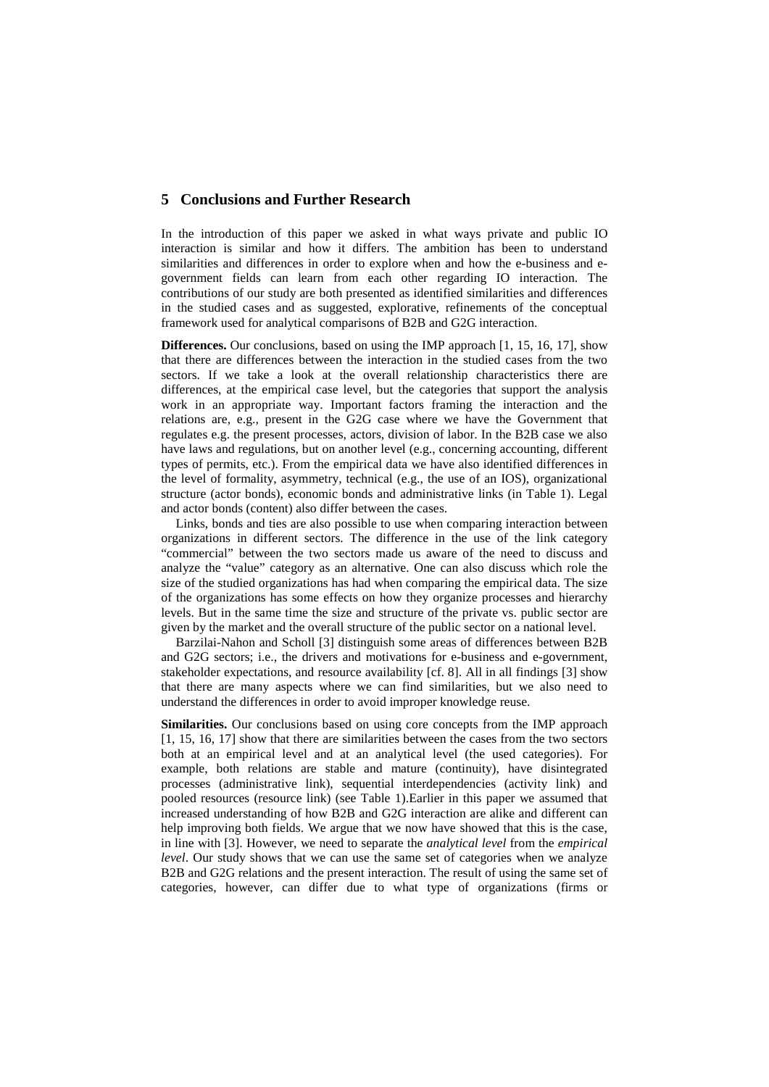### **5 Conclusions and Further Research**

In the introduction of this paper we asked in what ways private and public IO interaction is similar and how it differs. The ambition has been to understand similarities and differences in order to explore when and how the e-business and egovernment fields can learn from each other regarding IO interaction. The contributions of our study are both presented as identified similarities and differences in the studied cases and as suggested, explorative, refinements of the conceptual framework used for analytical comparisons of B2B and G2G interaction.

**Differences.** Our conclusions, based on using the IMP approach [1, 15, 16, 17], show that there are differences between the interaction in the studied cases from the two sectors. If we take a look at the overall relationship characteristics there are differences, at the empirical case level, but the categories that support the analysis work in an appropriate way. Important factors framing the interaction and the relations are, e.g., present in the G2G case where we have the Government that regulates e.g. the present processes, actors, division of labor. In the B2B case we also have laws and regulations, but on another level (e.g., concerning accounting, different types of permits, etc.). From the empirical data we have also identified differences in the level of formality, asymmetry, technical (e.g., the use of an IOS), organizational structure (actor bonds), economic bonds and administrative links (in Table 1). Legal and actor bonds (content) also differ between the cases.

Links, bonds and ties are also possible to use when comparing interaction between organizations in different sectors. The difference in the use of the link category "commercial" between the two sectors made us aware of the need to discuss and analyze the "value" category as an alternative. One can also discuss which role the size of the studied organizations has had when comparing the empirical data. The size of the organizations has some effects on how they organize processes and hierarchy levels. But in the same time the size and structure of the private vs. public sector are given by the market and the overall structure of the public sector on a national level.

Barzilai-Nahon and Scholl [3] distinguish some areas of differences between B2B and G2G sectors; i.e., the drivers and motivations for e-business and e-government, stakeholder expectations, and resource availability [cf. 8]. All in all findings [3] show that there are many aspects where we can find similarities, but we also need to understand the differences in order to avoid improper knowledge reuse.

**Similarities.** Our conclusions based on using core concepts from the IMP approach [1, 15, 16, 17] show that there are similarities between the cases from the two sectors both at an empirical level and at an analytical level (the used categories). For example, both relations are stable and mature (continuity), have disintegrated processes (administrative link), sequential interdependencies (activity link) and pooled resources (resource link) (see Table 1).Earlier in this paper we assumed that increased understanding of how B2B and G2G interaction are alike and different can help improving both fields. We argue that we now have showed that this is the case, in line with [3]. However, we need to separate the *analytical level* from the *empirical level*. Our study shows that we can use the same set of categories when we analyze B2B and G2G relations and the present interaction. The result of using the same set of categories, however, can differ due to what type of organizations (firms or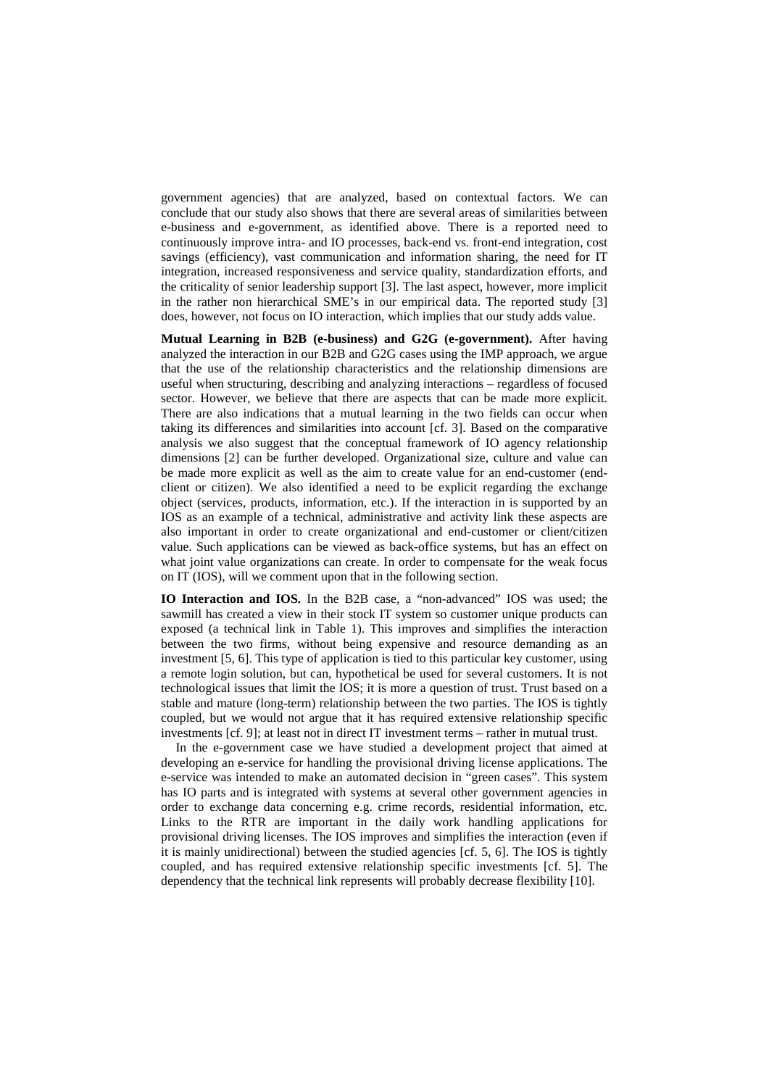government agencies) that are analyzed, based on contextual factors. We can conclude that our study also shows that there are several areas of similarities between e-business and e-government, as identified above. There is a reported need to continuously improve intra- and IO processes, back-end vs. front-end integration, cost savings (efficiency), vast communication and information sharing, the need for IT integration, increased responsiveness and service quality, standardization efforts, and the criticality of senior leadership support [3]. The last aspect, however, more implicit in the rather non hierarchical SME's in our empirical data. The reported study [3] does, however, not focus on IO interaction, which implies that our study adds value.

**Mutual Learning in B2B (e-business) and G2G (e-government).** After having analyzed the interaction in our B2B and G2G cases using the IMP approach, we argue that the use of the relationship characteristics and the relationship dimensions are useful when structuring, describing and analyzing interactions – regardless of focused sector. However, we believe that there are aspects that can be made more explicit. There are also indications that a mutual learning in the two fields can occur when taking its differences and similarities into account [cf. 3]. Based on the comparative analysis we also suggest that the conceptual framework of IO agency relationship dimensions [2] can be further developed. Organizational size, culture and value can be made more explicit as well as the aim to create value for an end-customer (endclient or citizen). We also identified a need to be explicit regarding the exchange object (services, products, information, etc.). If the interaction in is supported by an IOS as an example of a technical, administrative and activity link these aspects are also important in order to create organizational and end-customer or client/citizen value. Such applications can be viewed as back-office systems, but has an effect on what joint value organizations can create. In order to compensate for the weak focus on IT (IOS), will we comment upon that in the following section.

**IO Interaction and IOS.** In the B2B case, a "non-advanced" IOS was used; the sawmill has created a view in their stock IT system so customer unique products can exposed (a technical link in Table 1). This improves and simplifies the interaction between the two firms, without being expensive and resource demanding as an investment [5, 6]. This type of application is tied to this particular key customer, using a remote login solution, but can, hypothetical be used for several customers. It is not technological issues that limit the IOS; it is more a question of trust. Trust based on a stable and mature (long-term) relationship between the two parties. The IOS is tightly coupled, but we would not argue that it has required extensive relationship specific investments [cf. 9]; at least not in direct IT investment terms – rather in mutual trust.

In the e-government case we have studied a development project that aimed at developing an e-service for handling the provisional driving license applications. The e-service was intended to make an automated decision in "green cases". This system has IO parts and is integrated with systems at several other government agencies in order to exchange data concerning e.g. crime records, residential information, etc. Links to the RTR are important in the daily work handling applications for provisional driving licenses. The IOS improves and simplifies the interaction (even if it is mainly unidirectional) between the studied agencies [cf. 5, 6]. The IOS is tightly coupled, and has required extensive relationship specific investments [cf. 5]. The dependency that the technical link represents will probably decrease flexibility [10].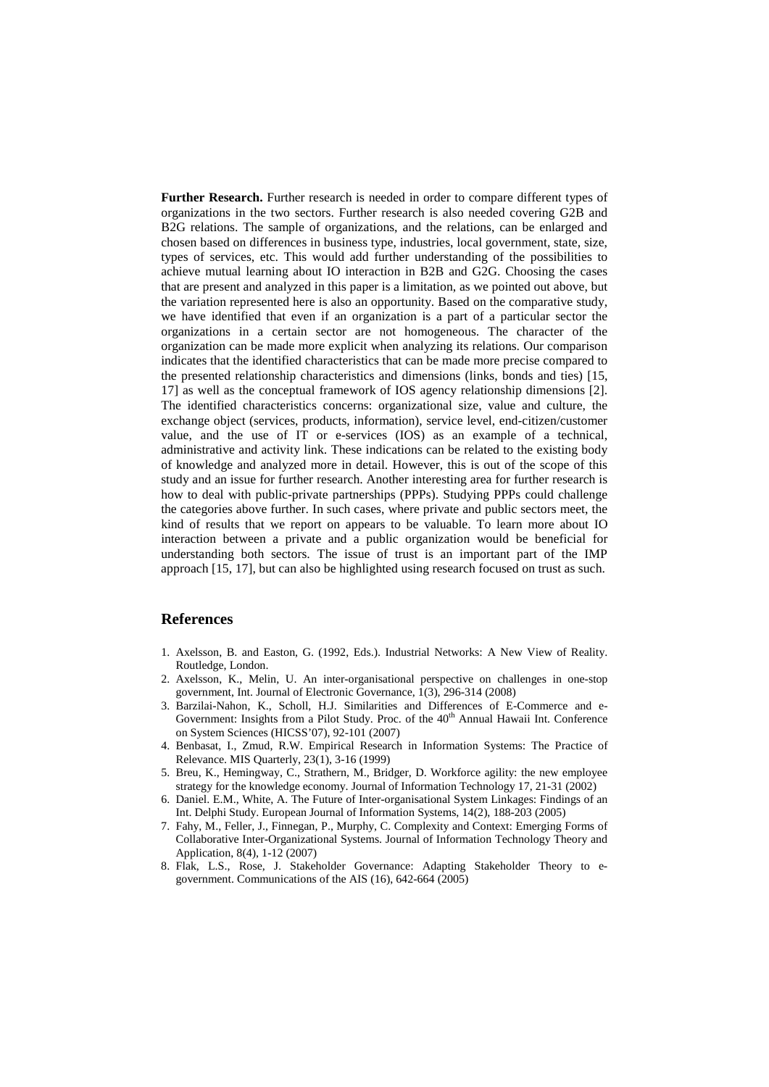**Further Research.** Further research is needed in order to compare different types of organizations in the two sectors. Further research is also needed covering G2B and B2G relations. The sample of organizations, and the relations, can be enlarged and chosen based on differences in business type, industries, local government, state, size, types of services, etc. This would add further understanding of the possibilities to achieve mutual learning about IO interaction in B2B and G2G. Choosing the cases that are present and analyzed in this paper is a limitation, as we pointed out above, but the variation represented here is also an opportunity. Based on the comparative study, we have identified that even if an organization is a part of a particular sector the organizations in a certain sector are not homogeneous. The character of the organization can be made more explicit when analyzing its relations. Our comparison indicates that the identified characteristics that can be made more precise compared to the presented relationship characteristics and dimensions (links, bonds and ties) [15, 17] as well as the conceptual framework of IOS agency relationship dimensions [2]. The identified characteristics concerns: organizational size, value and culture, the exchange object (services, products, information), service level, end-citizen/customer value, and the use of IT or e-services (IOS) as an example of a technical, administrative and activity link. These indications can be related to the existing body of knowledge and analyzed more in detail. However, this is out of the scope of this study and an issue for further research. Another interesting area for further research is how to deal with public-private partnerships (PPPs). Studying PPPs could challenge the categories above further. In such cases, where private and public sectors meet, the kind of results that we report on appears to be valuable. To learn more about IO interaction between a private and a public organization would be beneficial for understanding both sectors. The issue of trust is an important part of the IMP approach [15, 17], but can also be highlighted using research focused on trust as such.

### **References**

- 1. Axelsson, B. and Easton, G. (1992, Eds.). Industrial Networks: A New View of Reality. Routledge, London.
- 2. Axelsson, K., Melin, U. An inter-organisational perspective on challenges in one-stop government, Int. Journal of Electronic Governance, 1(3), 296-314 (2008)
- 3. Barzilai-Nahon, K., Scholl, H.J. Similarities and Differences of E-Commerce and e-Government: Insights from a Pilot Study. Proc. of the  $40<sup>th</sup>$  Annual Hawaii Int. Conference on System Sciences (HICSS'07), 92-101 (2007)
- 4. Benbasat, I., Zmud, R.W. Empirical Research in Information Systems: The Practice of Relevance. MIS Quarterly, 23(1), 3-16 (1999)
- 5. Breu, K., Hemingway, C., Strathern, M., Bridger, D. Workforce agility: the new employee strategy for the knowledge economy. Journal of Information Technology 17, 21-31 (2002)
- 6. Daniel. E.M., White, A. The Future of Inter-organisational System Linkages: Findings of an Int. Delphi Study. European Journal of Information Systems, 14(2), 188-203 (2005)
- 7. Fahy, M., Feller, J., Finnegan, P., Murphy, C. Complexity and Context: Emerging Forms of Collaborative Inter-Organizational Systems. Journal of Information Technology Theory and Application, 8(4), 1-12 (2007)
- 8. Flak, L.S., Rose, J. Stakeholder Governance: Adapting Stakeholder Theory to egovernment. Communications of the AIS (16), 642-664 (2005)